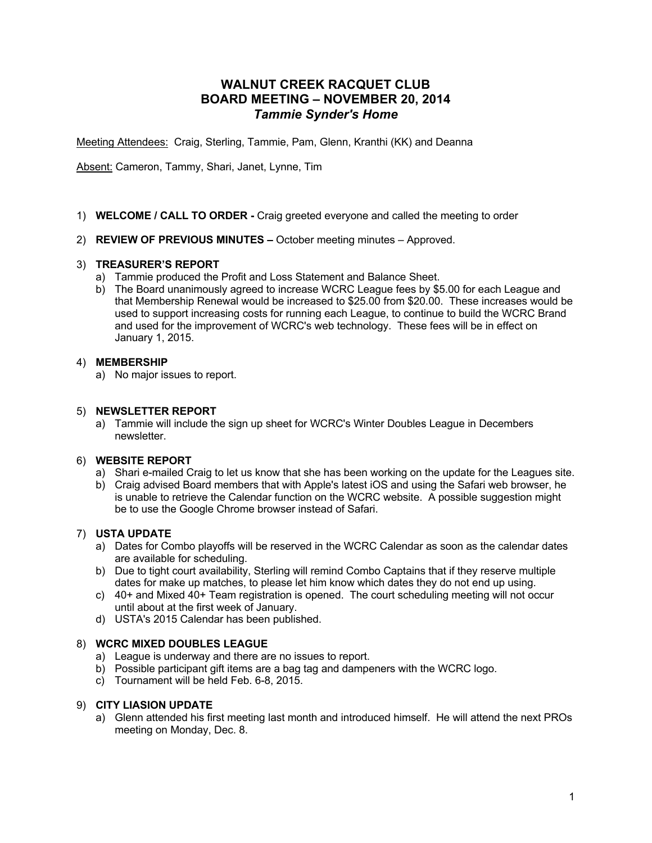# **WALNUT CREEK RACQUET CLUB BOARD MEETING – NOVEMBER 20, 2014** *Tammie Synder's Home*

Meeting Attendees: Craig, Sterling, Tammie, Pam, Glenn, Kranthi (KK) and Deanna

Absent: Cameron, Tammy, Shari, Janet, Lynne, Tim

- 1) **WELCOME / CALL TO ORDER -** Craig greeted everyone and called the meeting to order
- 2) **REVIEW OF PREVIOUS MINUTES –** October meeting minutes Approved.

# 3) **TREASURER'S REPORT**

- a) Tammie produced the Profit and Loss Statement and Balance Sheet.
- b) The Board unanimously agreed to increase WCRC League fees by \$5.00 for each League and that Membership Renewal would be increased to \$25.00 from \$20.00. These increases would be used to support increasing costs for running each League, to continue to build the WCRC Brand and used for the improvement of WCRC's web technology. These fees will be in effect on January 1, 2015.

### 4) **MEMBERSHIP**

a) No major issues to report.

### 5) **NEWSLETTER REPORT**

a) Tammie will include the sign up sheet for WCRC's Winter Doubles League in Decembers newsletter.

#### 6) **WEBSITE REPORT**

- a) Shari e-mailed Craig to let us know that she has been working on the update for the Leagues site.
- b) Craig advised Board members that with Apple's latest iOS and using the Safari web browser, he is unable to retrieve the Calendar function on the WCRC website. A possible suggestion might be to use the Google Chrome browser instead of Safari.

# 7) **USTA UPDATE**

- a) Dates for Combo playoffs will be reserved in the WCRC Calendar as soon as the calendar dates are available for scheduling.
- b) Due to tight court availability, Sterling will remind Combo Captains that if they reserve multiple dates for make up matches, to please let him know which dates they do not end up using.
- c) 40+ and Mixed 40+ Team registration is opened. The court scheduling meeting will not occur until about at the first week of January.
- d) USTA's 2015 Calendar has been published.

# 8) **WCRC MIXED DOUBLES LEAGUE**

- a) League is underway and there are no issues to report.
- b) Possible participant gift items are a bag tag and dampeners with the WCRC logo.
- c) Tournament will be held Feb. 6-8, 2015.

#### 9) **CITY LIASION UPDATE**

a) Glenn attended his first meeting last month and introduced himself. He will attend the next PROs meeting on Monday, Dec. 8.